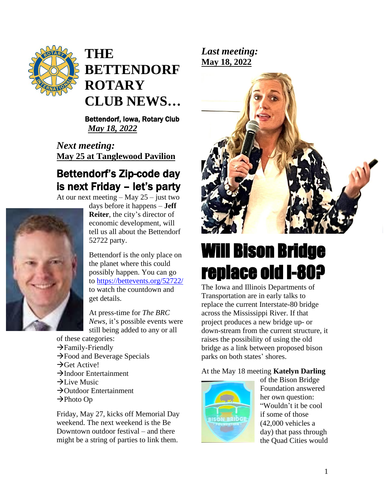

# **THE BETTENDORF ROTARY CLUB NEWS…**

 Bettendorf, Iowa, Rotary Club  *May 18, 2022*

*Next meeting:*  **May 25 at Tanglewood Pavilion**

# Bettendorf's Zip-code day is next Friday – let's party

At our next meeting  $-$  May 25  $-$  just two



days before it happens – **Jeff Reiter**, the city's director of economic development, will tell us all about the Bettendorf 52722 party.

Bettendorf is the only place on the planet where this could possibly happen. You can go to <https://bettevents.org/52722/> to watch the countdown and get details.

At press-time for *The BRC News,* it's possible events were still being added to any or all

of these categories:  $\rightarrow$ Family-Friendly  $\rightarrow$ Food and Beverage Specials  $\rightarrow$ Get Active! →Indoor Entertainment  $\rightarrow$ Live Music →Outdoor Entertainment →Photo Op

Friday, May 27, kicks off Memorial Day weekend. The next weekend is the Be Downtown outdoor festival – and there might be a string of parties to link them.

*Last meeting:*  **May 18, 2022** 



# Will Bison Bridge replace old I-80?

The Iowa and Illinois Departments of Transportation are in early talks to replace the current Interstate-80 bridge across the Mississippi River. If that project produces a new bridge up- or down-stream from the current structure, it raises the possibility of using the old bridge as a link between proposed bison parks on both states' shores.

#### At the May 18 meeting **Katelyn Darling**



of the Bison Bridge Foundation answered her own question: "Wouldn't it be cool if some of those (42,000 vehicles a day) that pass through the Quad Cities would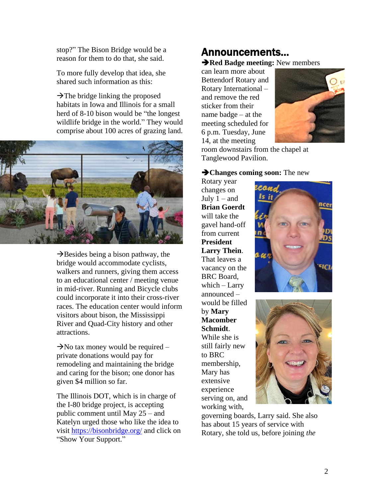stop?" The Bison Bridge would be a reason for them to do that, she said.

To more fully develop that idea, she shared such information as this:

 $\rightarrow$ The bridge linking the proposed habitats in Iowa and Illinois for a small herd of 8-10 bison would be "the longest wildlife bridge in the world." They would comprise about 100 acres of grazing land.



 $\rightarrow$ Besides being a bison pathway, the bridge would accommodate cyclists, walkers and runners, giving them access to an educational center / meeting venue in mid-river. Running and Bicycle clubs could incorporate it into their cross-river races. The education center would inform visitors about bison, the Mississippi River and Quad-City history and other attractions.

 $\rightarrow$ No tax money would be required – private donations would pay for remodeling and maintaining the bridge and caring for the bison; one donor has given \$4 million so far.

The Illinois DOT, which is in charge of the I-80 bridge project, is accepting public comment until May 25 – and Katelyn urged those who like the idea to visit<https://bisonbridge.org/> and click on "Show Your Support."

# Announcements…

➔**Red Badge meeting:** New members

can learn more about Bettendorf Rotary and Rotary International – and remove the red sticker from their name badge – at the meeting scheduled for 6 p.m. Tuesday, June 14, at the meeting



room downstairs from the chapel at Tanglewood Pavilion.

#### ➔**Changes coming soon:** The new

Rotary year changes on July  $1 -$  and **Brian Goerdt**  will take the gavel hand-off from current **President Larry Thein**. That leaves a vacancy on the BRC Board, which – Larry announced – would be filled by **Mary Macomber Schmidt**. While she is still fairly new to BRC membership, Mary has extensive experience serving on, and working with,



governing boards, Larry said. She also has about 15 years of service with Rotary, she told us, before joining *the*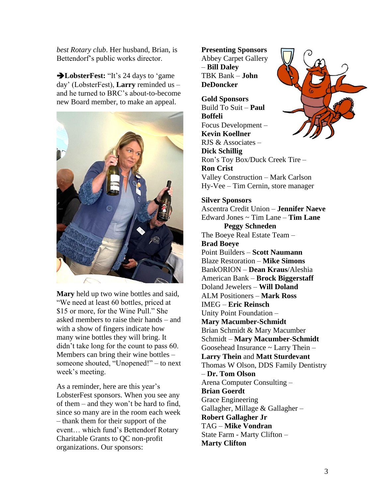*best Rotary club*. Her husband, Brian, is Bettendorf's public works director.

➔**LobsterFest:** "It's 24 days to 'game day' (LobsterFest), **Larry** reminded us – and he turned to BRC's about-to-become new Board member, to make an appeal.



**Mary** held up two wine bottles and said, "We need at least 60 bottles, priced at \$15 or more, for the Wine Pull." She asked members to raise their hands – and with a show of fingers indicate how many wine bottles they will bring. It didn't take long for the count to pass 60. Members can bring their wine bottles – someone shouted, "Unopened!" – to next week's meeting.

As a reminder, here are this year's LobsterFest sponsors. When you see any of them – and they won't be hard to find, since so many are in the room each week – thank them for their support of the event… which fund's Bettendorf Rotary Charitable Grants to QC non-profit organizations. Our sponsors:

#### **Presenting Sponsors**

Abbey Carpet Gallery – **Bill Daley** TBK Bank – **John DeDoncker**

**Gold Sponsors** Build To Suit – **Paul Boffeli** Focus Development – **Kevin Koellner** RJS & Associates – **Dick Schillig** Ron's Toy Box/Duck Creek Tire – **Ron Crist** Valley Construction – Mark Carlson Hy-Vee – Tim Cernin, store manager

#### **Silver Sponsors**

Ascentra Credit Union – **Jennifer Naeve** Edward Jones ~ Tim Lane – **Tim Lane Peggy Schneden** The Boeye Real Estate Team – **Brad Boeye** Point Builders – **Scott Naumann** Blaze Restoration – **Mike Simons** BankORION – **Dean Kraus**/Aleshia American Bank – **Brock Biggerstaff** Doland Jewelers – **Will Doland** ALM Positioners – **Mark Ross** IMEG – **Eric Reinsch** Unity Point Foundation – **Mary Macumber-Schmidt** Brian Schmidt & Mary Macumber Schmidt – **Mary Macumber-Schmidt** Goosehead Insurance ~ Larry Thein – **Larry Thein** and **Matt Sturdevant** Thomas W Olson, DDS Family Dentistry – **Dr. Tom Olson** Arena Computer Consulting – **Brian Goerdt** Grace Engineering Gallagher, Millage & Gallagher – **Robert Gallagher Jr** TAG – **Mike Vondran** State Farm - Marty Clifton – **Marty Clifton**

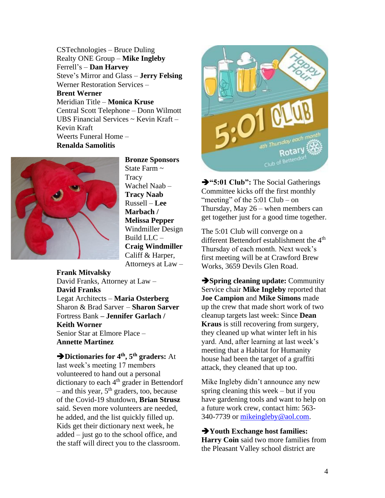CSTechnologies – Bruce Duling Realty ONE Group – **Mike Ingleby** Ferrell's – **Dan Harvey** Steve's Mirror and Glass – **Jerry Felsing** Werner Restoration Services – **Brent Werner** Meridian Title – **Monica Kruse** Central Scott Telephone – Donn Wilmott UBS Financial Services ~ Kevin Kraft – Kevin Kraft Weerts Funeral Home – **Renalda Samolitis**



**Bronze Sponsors** State Farm ~ **Tracy** Wachel Naab – **Tracy Naab** Russell – **Lee Marbach / Melissa Pepper** Windmiller Design Build LLC – **Craig Windmiller** Califf & Harper, Attorneys at Law –

**Frank Mitvalsky** David Franks, Attorney at Law – **David Franks** Legat Architects – **Maria Osterberg** Sharon & Brad Sarver – **Sharon Sarver** Fortress Bank **– Jennifer Garlach / Keith Worner** Senior Star at Elmore Place – **Annette Martinez**

➔**Dictionaries for 4th, 5th graders:** At last week's meeting 17 members volunteered to hand out a personal dictionary to each  $4<sup>th</sup>$  grader in Bettendorf – and this year,  $5<sup>th</sup>$  graders, too, because of the Covid-19 shutdown, **Brian Strusz**  said. Seven more volunteers are needed, he added, and the list quickly filled up. Kids get their dictionary next week, he added – just go to the school office, and the staff will direct you to the classroom.



➔**"5:01 Club":** The Social Gatherings Committee kicks off the first monthly "meeting" of the  $5:01$  Club – on Thursday, May 26 – when members can get together just for a good time together.

The 5:01 Club will converge on a different Bettendorf establishment the 4<sup>th</sup> Thursday of each month. Next week's first meeting will be at Crawford Brew Works, 3659 Devils Glen Road.

➔**Spring cleaning update:** Community Service chair **Mike Ingleby** reported that **Joe Campion** and **Mike Simons** made up the crew that made short work of two cleanup targets last week: Since **Dean Kraus** is still recovering from surgery, they cleaned up what winter left in his yard. And, after learning at last week's meeting that a Habitat for Humanity house had been the target of a graffiti attack, they cleaned that up too.

Mike Ingleby didn't announce any new spring cleaning this week – but if you have gardening tools and want to help on a future work crew, contact him: 563- 340-7739 or [mikeingleby@aol.com.](mailto:mikeingleby@aol.com)

➔**Youth Exchange host families: Harry Coin** said two more families from the Pleasant Valley school district are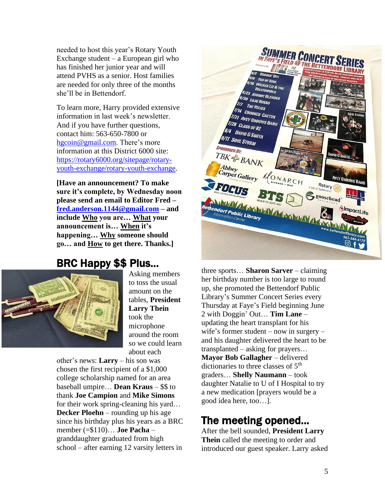needed to host this year's Rotary Youth Exchange student – a European girl who has finished her junior year and will attend PVHS as a senior. Host families are needed for only three of the months she'll be in Bettendorf.

To learn more, Harry provided extensive information in last week's newsletter. And if you have further questions, contact him: 563-650-7800 or [hgcoin@gmail.com.](mailto:hgcoin@gmail.com) There's more information at this District 6000 site: [https://rotary6000.org/sitepage/rotary](https://rotary6000.org/sitepage/rotary-youth-exchange/rotary-youth-exchange)[youth-exchange/rotary-youth-exchange.](https://rotary6000.org/sitepage/rotary-youth-exchange/rotary-youth-exchange)

**[Have an announcement? To make sure it's complete, by Wednesday noon please send an email to Editor Fred – [fred.anderson.1144@gmail.com](mailto:fred.anderson.1144@gmail.com) – and include Who you are… What your announcement is… When it's happening… Why someone should go… and How to get there. Thanks.]**

# BRC Happy \$\$ Plus…



Asking members to toss the usual amount on the tables, **President Larry Thein**  took the microphone around the room so we could learn about each

other's news: **Larry** – his son was chosen the first recipient of a \$1,000 college scholarship named for an area baseball umpire… **Dean Kraus** – \$\$ to thank **Joe Campion** and **Mike Simons** for their work spring-cleaning his yard… **Decker Ploehn** – rounding up his age since his birthday plus his years as a BRC member (=\$110)… **Joe Pacha** – granddaughter graduated from high school – after earning 12 varsity letters in



three sports… **Sharon Sarver** – claiming her birthday number is too large to round up, she promoted the Bettendorf Public Library's Summer Concert Series every Thursday at Faye's Field beginning June 2 with Doggin' Out… **Tim Lane** – updating the heart transplant for his wife's former student – now in surgery – and his daughter delivered the heart to be transplanted – asking for prayers… **Mayor Bob Gallagher** – delivered dictionaries to three classes of 5<sup>th</sup> graders… **Shelly Naumann** – took daughter Natalie to U of I Hospital to try a new medication [prayers would be a good idea here, too…].

# The meeting opened…

After the bell sounded, **President Larry Thein** called the meeting to order and introduced our guest speaker. Larry asked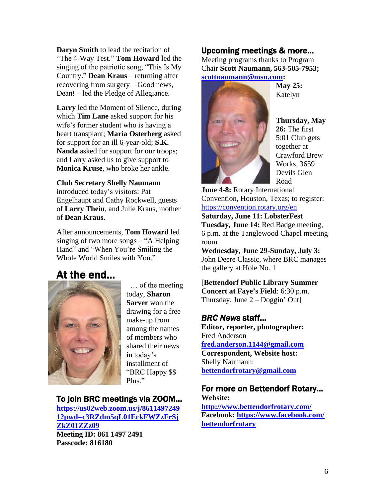**Daryn Smith** to lead the recitation of "The 4-Way Test." **Tom Howard** led the singing of the patriotic song, "This Is My Country." **Dean Kraus** – returning after recovering from surgery – Good news, Dean! – led the Pledge of Allegiance.

**Larry** led the Moment of Silence, during which **Tim Lane** asked support for his wife's former student who is having a heart transplant; **Maria Osterberg** asked for support for an ill 6-year-old; **S.K. Nanda** asked for support for our troops; and Larry asked us to give support to **Monica Kruse**, who broke her ankle.

#### **Club Secretary Shelly Naumann**

introduced today's visitors: Pat Engelhaupt and Cathy Rockwell, guests of **Larry Thein**, and Julie Kraus, mother of **Dean Kraus**.

After announcements, **Tom Howard** led singing of two more songs – "A Helping Hand" and "When You're Smiling the Whole World Smiles with You."

## At the end…



 … of the meeting today, **Sharon Sarver** won the drawing for a free make-up from among the names of members who shared their news in today's installment of "BRC Happy \$\$ Plus."

#### To join BRC meetings via ZOOM…

**[https://us02web.zoom.us/j/8611497249](https://us02web.zoom.us/j/86114972491?pwd=c3RZdm5qL01EckFWZzFrSjZkZ01ZZz09) [1?pwd=c3RZdm5qL01EckFWZzFrSj](https://us02web.zoom.us/j/86114972491?pwd=c3RZdm5qL01EckFWZzFrSjZkZ01ZZz09) [ZkZ01ZZz09](https://us02web.zoom.us/j/86114972491?pwd=c3RZdm5qL01EckFWZzFrSjZkZ01ZZz09) Meeting ID: 861 1497 2491 Passcode: 816180**

#### Upcoming meetings & more…

Meeting programs thanks to Program Chair **Scott Naumann, 563-505-7953; [scottnaumann@msn.com:](mailto:scottnaumann@msn.com)**



**May 25:**  Katelyn

**Thursday, May** 

**26:** The first 5:01 Club gets together at Crawford Brew Works, 3659 Devils Glen Road

**June 4-8:** Rotary International Convention, Houston, Texas; to register: <https://convention.rotary.org/en>

**Saturday, June 11: LobsterFest**

**Tuesday, June 14:** Red Badge meeting, 6 p.m. at the Tanglewood Chapel meeting room

**Wednesday, June 29-Sunday, July 3:**  John Deere Classic, where BRC manages the gallery at Hole No. 1

[**Bettendorf Public Library Summer Concert at Faye's Field**: 6:30 p.m. Thursday, June 2 – Doggin' Out]

#### *BRC News* staff…

**Editor, reporter, photographer:** Fred Anderson **[fred.anderson.1144@gmail.com](mailto:fred.anderson.1144@gmail.com) Correspondent, Website host:**  Shelly Naumann: **[bettendorfrotary@gmail.com](mailto:bettendorfrotary@gmail.com)**

#### For more on Bettendorf Rotary…

**Website: <http://www.bettendorfrotary.com/> Facebook: https://www.facebook.com/ bettendorfrotary**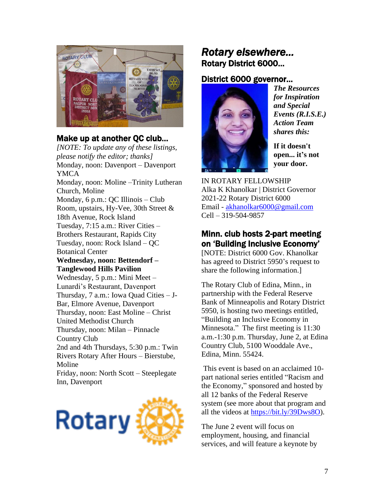

## Make up at another QC club…

*[NOTE: To update any of these listings, please notify the editor; thanks]*  Monday, noon: Davenport – Davenport YMCA Monday, noon: Moline –Trinity Lutheran Church, Moline Monday, 6 p.m.: QC Illinois – Club Room, upstairs, Hy-Vee, 30th Street & 18th Avenue, Rock Island Tuesday, 7:15 a.m.: River Cities – Brothers Restaurant, Rapids City Tuesday, noon: Rock Island – QC Botanical Center **Wednesday, noon: Bettendorf – Tanglewood Hills Pavilion**  Wednesday, 5 p.m.: Mini Meet – Lunardi's Restaurant, Davenport Thursday, 7 a.m.: Iowa Quad Cities – J-Bar, Elmore Avenue, Davenport Thursday, noon: East Moline – Christ United Methodist Church Thursday, noon: Milan – Pinnacle Country Club 2nd and 4th Thursdays, 5:30 p.m.: Twin Rivers Rotary After Hours – Bierstube, Moline Friday, noon: North Scott – Steeplegate Inn, Davenport



## *Rotary elsewhere…*  Rotary District 6000…

#### District 6000 governor…



*The Resources for Inspiration and Special Events (R.I.S.E.) Action Team shares this:*

**If it doesn't open... it's not your door.**

IN ROTARY FELLOWSHIP Alka K Khanolkar | District Governor 2021-22 Rotary District 6000 Email - [akhanolkar6000@gmail.com](mailto:akhanolkar6000@gmail.com) Cell – 319-504-9857

## Minn. club hosts 2-part meeting on 'Building Inclusive Economy'

[NOTE: District 6000 Gov. Khanolkar has agreed to District 5950's request to share the following information.]

The Rotary Club of Edina, Minn., in partnership with the Federal Reserve Bank of Minneapolis and Rotary District 5950, is hosting two meetings entitled, "Building an Inclusive Economy in Minnesota." The first meeting is 11:30 a.m.-1:30 p.m. Thursday, June 2, at Edina Country Club, 5100 Wooddale Ave., Edina, Minn. 55424.

This event is based on an acclaimed 10 part national series entitled "Racism and the Economy," sponsored and hosted by all 12 banks of the Federal Reserve system (see more about that program and all the videos at [https://bit.ly/39Dws8O\)](https://bit.ly/39Dws8O).

The June 2 event will focus on employment, housing, and financial services, and will feature a keynote by